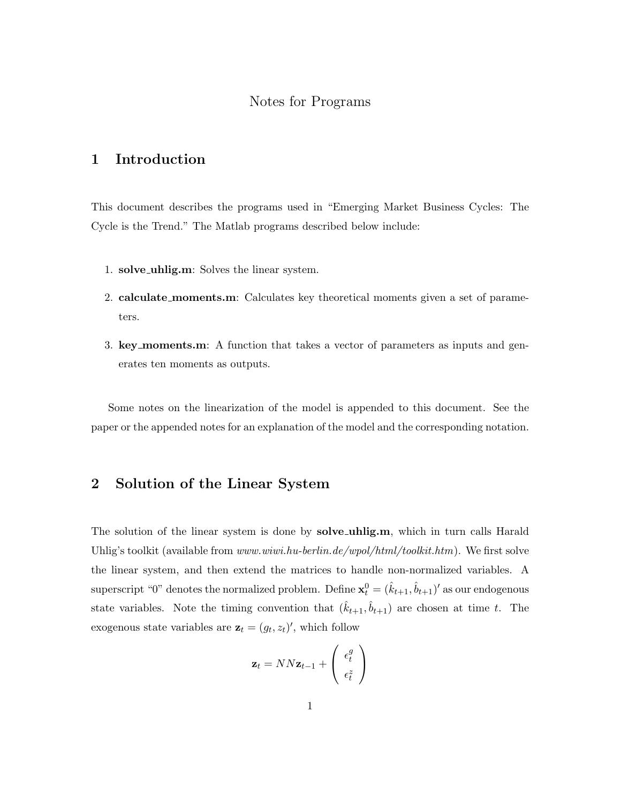#### Notes for Programs

#### 1 Introduction

This document describes the programs used in "Emerging Market Business Cycles: The Cycle is the Trend." The Matlab programs described below include:

- 1. solve\_uhlig.m: Solves the linear system.
- 2. calculate moments.m: Calculates key theoretical moments given a set of parameters.
- 3. key moments.m: A function that takes a vector of parameters as inputs and generates ten moments as outputs.

Some notes on the linearization of the model is appended to this document. See the paper or the appended notes for an explanation of the model and the corresponding notation.

#### 2 Solution of the Linear System

The solution of the linear system is done by **solve uhlig.m**, which in turn calls Harald Uhlig's toolkit (available from www.wiwi.hu-berlin.de/wpol/html/toolkit.htm). We first solve the linear system, and then extend the matrices to handle non-normalized variables. A superscript "0" denotes the normalized problem. Define  $\mathbf{x}_t^0 = (\hat{k}_{t+1}, \hat{b}_{t+1})'$  as our endogenous state variables. Note the timing convention that  $(\hat{k}_{t+1}, \hat{b}_{t+1})$  are chosen at time t. The exogenous state variables are  $\mathbf{z}_t = (g_t, z_t)'$ , which follow

$$
\mathbf{z}_t = NN\mathbf{z}_{t-1} + \begin{pmatrix} \epsilon_t^g\\ \epsilon_t^z \end{pmatrix}
$$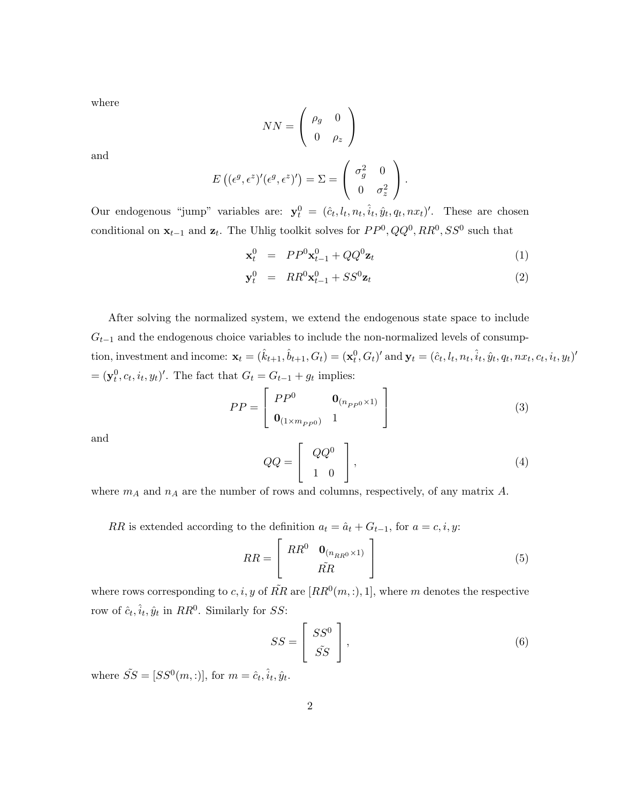where

$$
NN = \left(\begin{array}{cc} \rho_g & 0\\ 0 & \rho_z \end{array}\right)
$$

and

$$
E((\epsilon^g, \epsilon^z)'(\epsilon^g, \epsilon^z)') = \Sigma = \begin{pmatrix} \sigma_g^2 & 0 \\ 0 & \sigma_z^2 \end{pmatrix}.
$$

Our endogenous "jump" variables are:  $\mathbf{y}_t^0 = (\hat{c}_t, l_t, n_t, \hat{i}_t, \hat{y}_t, q_t, nx_t)'$ . These are chosen conditional on  $\mathbf{x}_{t-1}$  and  $\mathbf{z}_t$ . The Uhlig toolkit solves for  $PP^0$ ,  $QQ^0$ ,  $RR^0$ ,  $SS^0$  such that

$$
\mathbf{x}_t^0 = PP^0 \mathbf{x}_{t-1}^0 + QQ^0 \mathbf{z}_t \tag{1}
$$

$$
\mathbf{y}_t^0 = RR^0 \mathbf{x}_{t-1}^0 + SS^0 \mathbf{z}_t \tag{2}
$$

After solving the normalized system, we extend the endogenous state space to include  $G_{t-1}$  and the endogenous choice variables to include the non-normalized levels of consumption, investment and income:  $\mathbf{x}_t = (\hat{k}_{t+1}, \hat{b}_{t+1}, G_t) = (\mathbf{x}_t^0, G_t)'$  and  $\mathbf{y}_t = (\hat{c}_t, l_t, n_t, \hat{i}_t, \hat{y}_t, q_t, nx_t, c_t, i_t, y_t)'$  $=(\mathbf{y}_t^0, c_t, i_t, y_t)'$ . The fact that  $G_t = G_{t-1} + g_t$  implies:

$$
PP = \begin{bmatrix} PP^0 & \mathbf{0}_{(n_{PP0} \times 1)} \\ \mathbf{0}_{(1 \times m_{PP0})} & 1 \end{bmatrix}
$$
 (3)

and

$$
QQ = \left[ \begin{array}{c} QQ^0 \\ 1 & 0 \end{array} \right],
$$
\n(4)

where  $m_A$  and  $n_A$  are the number of rows and columns, respectively, of any matrix A.

RR is extended according to the definition  $a_t = \hat{a}_t + G_{t-1}$ , for  $a = c, i, y$ :

$$
RR = \begin{bmatrix} RR^0 & \mathbf{0}_{(n_{RR0} \times 1)} \\ \tilde{RR} \end{bmatrix}
$$
 (5)

where rows corresponding to c, i, y of  $\tilde{RR}$  are  $[RR^0(m,:),1]$ , where m denotes the respective row of  $\hat{c}_t$ ,  $\hat{i}_t$ ,  $\hat{y}_t$  in  $RR^0$ . Similarly for SS:

$$
SS = \begin{bmatrix} SS^0 \\ \tilde{SS} \end{bmatrix},\tag{6}
$$

where  $\tilde{SS} = [SS^0(m,:)],$  for  $m = \hat{c}_t, \hat{i}_t, \hat{y}_t$ .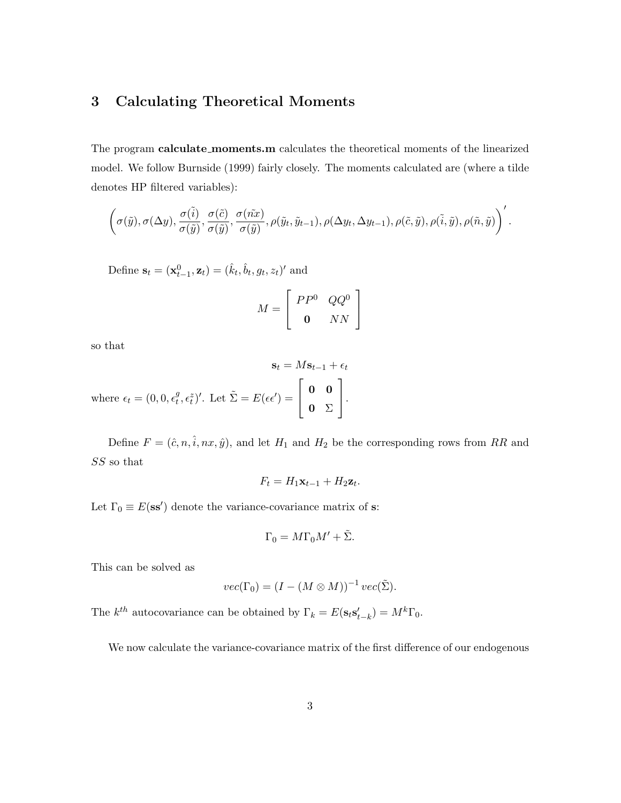### 3 Calculating Theoretical Moments

The program calculate moments.m calculates the theoretical moments of the linearized model. We follow Burnside (1999) fairly closely. The moments calculated are (where a tilde denotes HP filtered variables):

$$
\left(\sigma(\tilde y), \sigma(\Delta y), \frac{\sigma(\tilde i)}{\sigma(\tilde y)}, \frac{\sigma(\tilde c)}{\sigma(\tilde y)}, \frac{\sigma(\tilde nx)}{\sigma(\tilde y)}, \rho(\tilde y_t, \tilde y_{t-1}), \rho(\Delta y_t, \Delta y_{t-1}), \rho(\tilde c, \tilde y), \rho(\tilde i, \tilde y), \rho(\tilde n, \tilde y)\right)'.
$$

Define  $\mathbf{s}_t = (\mathbf{x}_{t-1}^0, \mathbf{z}_t) = (\hat{k}_t, \hat{b}_t, g_t, z_t)'$  and

$$
M = \left[ \begin{array}{cc} PP^0 & QQ^0 \\ \mathbf{0} & NN \end{array} \right]
$$

so that

$$
\mathbf{s}_t = M\mathbf{s}_{t-1} + \epsilon_t
$$
  
where  $\epsilon_t = (0, 0, \epsilon_t^g, \epsilon_t^z)'$ . Let  $\tilde{\Sigma} = E(\epsilon \epsilon') = \begin{bmatrix} \mathbf{0} & \mathbf{0} \\ \mathbf{0} & \Sigma \end{bmatrix}$ .

Define  $F = (\hat{c}, n, \hat{i}, nx, \hat{y})$ , and let  $H_1$  and  $H_2$  be the corresponding rows from RR and SS so that

$$
F_t = H_1 \mathbf{x}_{t-1} + H_2 \mathbf{z}_t.
$$

Let  $\Gamma_0 \equiv E(\mathbf{ss}')$  denote the variance-covariance matrix of s:

$$
\Gamma_0 = M\Gamma_0 M' + \tilde{\Sigma}.
$$

This can be solved as

$$
vec(\Gamma_0) = (I - (M \otimes M))^{-1} vec(\tilde{\Sigma}).
$$

The  $k^{th}$  autocovariance can be obtained by  $\Gamma_k = E(\mathbf{s}_t \mathbf{s}'_{t-k}) = M^k \Gamma_0$ .

We now calculate the variance-covariance matrix of the first difference of our endogenous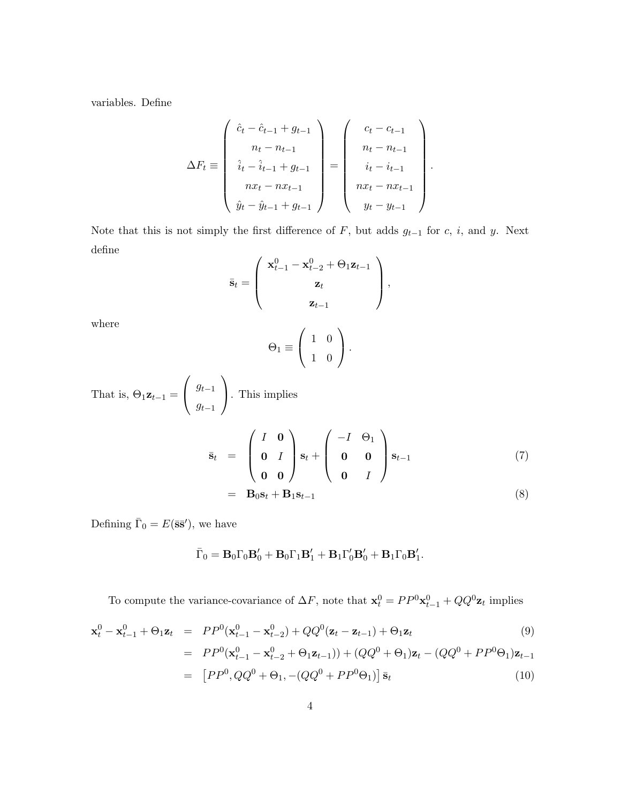variables. Define

$$
\Delta F_t \equiv \begin{pmatrix} \hat{c}_t - \hat{c}_{t-1} + g_{t-1} \\ n_t - n_{t-1} \\ \hat{i}_t - \hat{i}_{t-1} + g_{t-1} \\ nx_t - nx_{t-1} \\ \hat{y}_t - \hat{y}_{t-1} + g_{t-1} \end{pmatrix} = \begin{pmatrix} c_t - c_{t-1} \\ n_t - n_{t-1} \\ i_t - i_{t-1} \\ nx_t - nx_{t-1} \\ y_t - y_{t-1} \end{pmatrix}.
$$

Note that this is not simply the first difference of  $F$ , but adds  $g_{t-1}$  for c, i, and y. Next define

$$
\bar{\mathbf{s}}_t = \left(\begin{array}{c} \mathbf{x}_{t-1}^0 - \mathbf{x}_{t-2}^0 + \Theta_1 \mathbf{z}_{t-1} \\ \mathbf{z}_t \\ \mathbf{z}_{t-1} \end{array}\right),
$$

where

$$
\Theta_1 \equiv \left( \begin{array}{cc} 1 & 0 \\ 1 & 0 \end{array} \right).
$$

That is, 
$$
\Theta_1 \mathbf{z}_{t-1} = \begin{pmatrix} g_{t-1} \\ g_{t-1} \end{pmatrix}
$$
. This implies  
\n
$$
\overline{\mathbf{s}}_t = \begin{pmatrix} I & \mathbf{0} \\ \mathbf{0} & I \\ \mathbf{0} & \mathbf{0} \end{pmatrix} \mathbf{s}_t + \begin{pmatrix} -I & \Theta_1 \\ \mathbf{0} & \mathbf{0} \\ \mathbf{0} & I \end{pmatrix} \mathbf{s}_{t-1}
$$
\n
$$
= \mathbf{B}_0 \mathbf{s}_t + \mathbf{B}_1 \mathbf{s}_{t-1}
$$
\n(8)

Defining  $\bar{\Gamma}_0 = E(\bar{\mathbf{s}}\bar{\mathbf{s}}')$ , we have

$$
\bar{\Gamma}_0 = \mathbf{B}_0 \Gamma_0 \mathbf{B}_0' + \mathbf{B}_0 \Gamma_1 \mathbf{B}_1' + \mathbf{B}_1 \Gamma_0' \mathbf{B}_0' + \mathbf{B}_1 \Gamma_0 \mathbf{B}_1'.
$$

To compute the variance-covariance of  $\Delta F$ , note that  $\mathbf{x}_t^0 = PP^0 \mathbf{x}_{t-1}^0 + QQ^0 \mathbf{z}_t$  implies

$$
\mathbf{x}_{t}^{0} - \mathbf{x}_{t-1}^{0} + \Theta_{1}\mathbf{z}_{t} = PP^{0}(\mathbf{x}_{t-1}^{0} - \mathbf{x}_{t-2}^{0}) + QQ^{0}(\mathbf{z}_{t} - \mathbf{z}_{t-1}) + \Theta_{1}\mathbf{z}_{t}
$$
(9)  
\n
$$
= PP^{0}(\mathbf{x}_{t-1}^{0} - \mathbf{x}_{t-2}^{0} + \Theta_{1}\mathbf{z}_{t-1})) + (QQ^{0} + \Theta_{1})\mathbf{z}_{t} - (QQ^{0} + PP^{0}\Theta_{1})\mathbf{z}_{t-1}
$$
  
\n
$$
= [PP^{0}, QQ^{0} + \Theta_{1}, -(QQ^{0} + PP^{0}\Theta_{1})] \overline{\mathbf{s}}_{t}
$$
(10)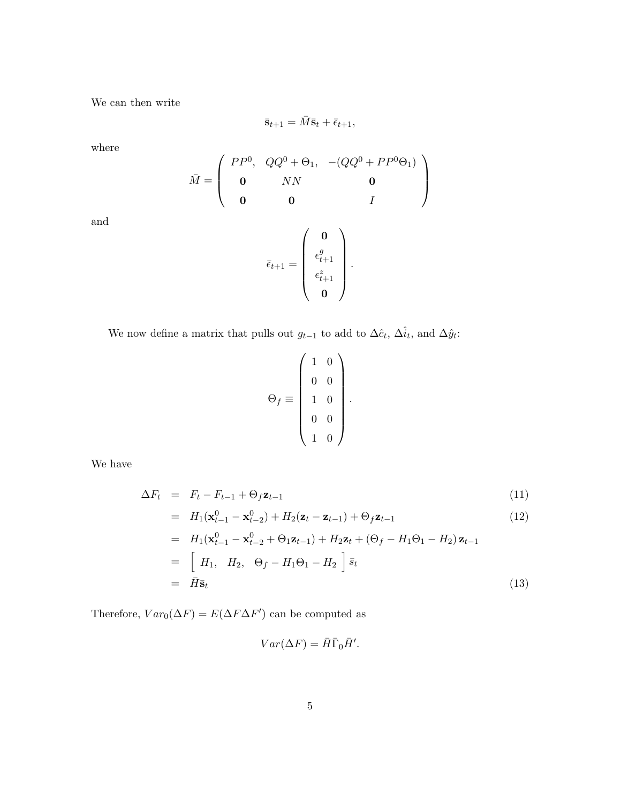We can then write

$$
\bar{\mathbf{s}}_{t+1} = \bar{M}\bar{\mathbf{s}}_t + \bar{\epsilon}_{t+1},
$$

where

$$
\bar{M} = \begin{pmatrix}\nPP^0, & QQ^0 + \Theta_1, & -(QQ^0 + PP^0\Theta_1) \\
0 & NN & 0 \\
0 & 0 & I\n\end{pmatrix}
$$
\n
$$
\bar{\epsilon}_{t+1} = \begin{pmatrix}\n0 \\
\epsilon_{t+1}^g \\
\epsilon_{t+1}^z \\
0\n\end{pmatrix}.
$$

and

We now define a matrix that pulls out  $g_{t-1}$  to add to  $\Delta \hat{c}_t$ ,  $\Delta \hat{i}_t$ , and  $\Delta \hat{y}_t$ :

$$
\Theta_f \equiv \left( \begin{array}{cc} 1 & 0 \\ 0 & 0 \\ 1 & 0 \\ 0 & 0 \\ 1 & 0 \end{array} \right).
$$

We have

$$
\Delta F_t = F_t - F_{t-1} + \Theta_f \mathbf{z}_{t-1} \tag{11}
$$

$$
= H_1(\mathbf{x}_{t-1}^0 - \mathbf{x}_{t-2}^0) + H_2(\mathbf{z}_t - \mathbf{z}_{t-1}) + \Theta_f \mathbf{z}_{t-1}
$$
(12)

$$
= H_1(\mathbf{x}_{t-1}^0 - \mathbf{x}_{t-2}^0 + \Theta_1 \mathbf{z}_{t-1}) + H_2 \mathbf{z}_t + (\Theta_f - H_1 \Theta_1 - H_2) \mathbf{z}_{t-1}
$$
  
\n
$$
= [H_1, H_2, \Theta_f - H_1 \Theta_1 - H_2] \bar{s}_t
$$
  
\n
$$
= \bar{H} \bar{\mathbf{s}}_t
$$
\n(13)

Therefore,  $Var_0(\Delta F) = E(\Delta F \Delta F')$  can be computed as

$$
Var(\Delta F) = \bar{H}\bar{\Gamma}_0\bar{H}'.
$$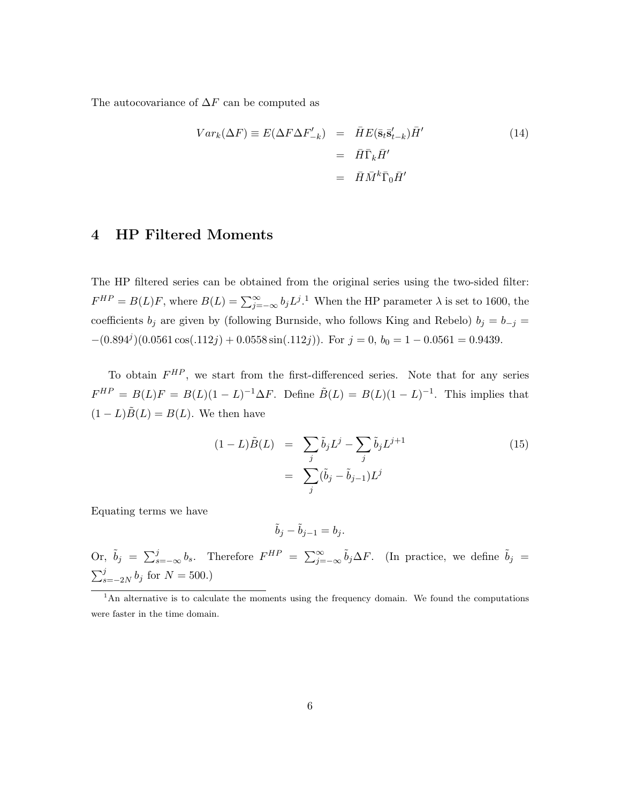The autocovariance of  $\Delta F$  can be computed as

$$
Var_k(\Delta F) \equiv E(\Delta F \Delta F'_{-k}) = \bar{H}E(\bar{s}_t \bar{s}'_{t-k})\bar{H}'
$$
  

$$
= \bar{H}\bar{\Gamma}_k \bar{H}'
$$
  

$$
= \bar{H}\bar{M}^k \bar{\Gamma}_0 \bar{H}'
$$
  
(14)

#### 4 HP Filtered Moments

The HP filtered series can be obtained from the original series using the two-sided filter:  $F^{HP} = B(L)F$ , where  $B(L) = \sum_{j=-\infty}^{\infty} b_j L^j$ .<sup>1</sup> When the HP parameter  $\lambda$  is set to 1600, the coefficients  $b_j$  are given by (following Burnside, who follows King and Rebelo)  $b_j = b_{-j}$  =  $-(0.894<sup>j</sup>)(0.0561\cos(.112j) + 0.0558\sin(.112j))$ . For  $j = 0, b_0 = 1 - 0.0561 = 0.9439$ .

To obtain  $F^{HP}$ , we start from the first-differenced series. Note that for any series  $F^{HP} = B(L)F = B(L)(1-L)^{-1}\Delta F$ . Define  $\tilde{B}(L) = B(L)(1-L)^{-1}$ . This implies that  $(1 - L)\tilde{B}(L) = B(L)$ . We then have

$$
(1 - L)\tilde{B}(L) = \sum_{j} \tilde{b}_{j} L^{j} - \sum_{j} \tilde{b}_{j} L^{j+1}
$$

$$
= \sum_{j} (\tilde{b}_{j} - \tilde{b}_{j-1}) L^{j}
$$
(15)

Equating terms we have

$$
\tilde{b}_j - \tilde{b}_{j-1} = b_j.
$$

Or,  $\tilde{b}_j = \sum_{s=-\infty}^{j} b_s$ . Therefore  $F^{HP} = \sum_{j=-\infty}^{\infty} \tilde{b}_j \Delta F$ . (In practice, we define  $\tilde{b}_j =$  $\sum_{s=-2N}^{j} b_j$  for  $N = 500$ .)

<sup>&</sup>lt;sup>1</sup>An alternative is to calculate the moments using the frequency domain. We found the computations were faster in the time domain.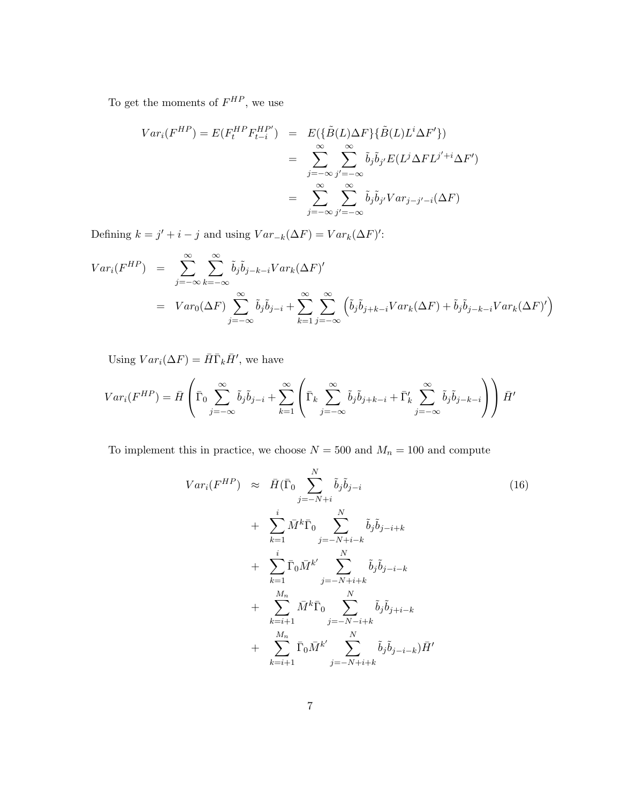To get the moments of  $F^{HP}$ , we use

$$
Var_i(F^{HP}) = E(F_t^{HP} F_{t-i}^{HP'}) = E(\{\tilde{B}(L)\Delta F\} \{\tilde{B}(L)L^i \Delta F'\})
$$
  

$$
= \sum_{j=-\infty}^{\infty} \sum_{j'=-\infty}^{\infty} \tilde{b}_j \tilde{b}_{j'} E(L^j \Delta F L^{j'+i} \Delta F')
$$
  

$$
= \sum_{j=-\infty}^{\infty} \sum_{j'=-\infty}^{\infty} \tilde{b}_j \tilde{b}_{j'} Var_{j-j'-i}(\Delta F)
$$

Defining  $k = j' + i - j$  and using  $Var_{-k}(\Delta F) = Var_k(\Delta F)'$ :

$$
Var_i(F^{HP}) = \sum_{j=-\infty}^{\infty} \sum_{k=-\infty}^{\infty} \tilde{b}_j \tilde{b}_{j-k-i} Var_k(\Delta F)'
$$
  
=  $Var_0(\Delta F) \sum_{j=-\infty}^{\infty} \tilde{b}_j \tilde{b}_{j-i} + \sum_{k=1}^{\infty} \sum_{j=-\infty}^{\infty} (\tilde{b}_j \tilde{b}_{j+k-i} Var_k(\Delta F) + \tilde{b}_j \tilde{b}_{j-k-i} Var_k(\Delta F)')$ 

Using  $Var_i(\Delta F) = \overline{H} \overline{\Gamma}_k \overline{H}'$ , we have

$$
Var_i(F^{HP}) = \bar{H}\left(\bar{\Gamma}_0 \sum_{j=-\infty}^{\infty} \tilde{b}_j \tilde{b}_{j-i} + \sum_{k=1}^{\infty} \left(\bar{\Gamma}_k \sum_{j=-\infty}^{\infty} \tilde{b}_j \tilde{b}_{j+k-i} + \bar{\Gamma}'_k \sum_{j=-\infty}^{\infty} \tilde{b}_j \tilde{b}_{j-k-i}\right)\right) \bar{H}'
$$

To implement this in practice, we choose  ${\cal N}=500$  and  $M_n=100$  and compute

$$
Var_i(F^{HP}) \approx \bar{H}(\bar{\Gamma}_0 \sum_{j=-N+i}^{N} \tilde{b}_j \tilde{b}_{j-i} + \sum_{k=1}^{i} \bar{M}^k \bar{\Gamma}_0 \sum_{j=-N+i-k}^{N} \tilde{b}_j \tilde{b}_{j-i+k} + \sum_{k=1}^{i} \bar{\Gamma}_0 \bar{M}^{k'} \sum_{j=-N+i+k}^{N} \tilde{b}_j \tilde{b}_{j-i-k} + \sum_{k=i+1}^{M_n} \bar{M}^k \bar{\Gamma}_0 \sum_{j=-N-i+k}^{N} \tilde{b}_j \tilde{b}_{j+i-k} + \sum_{k=i+1}^{M_n} \bar{\Gamma}_0 \bar{M}^{k'} \sum_{j=-N+i+k}^{N} \tilde{b}_j \tilde{b}_{j-i-k} \tilde{H}'
$$
\n(16)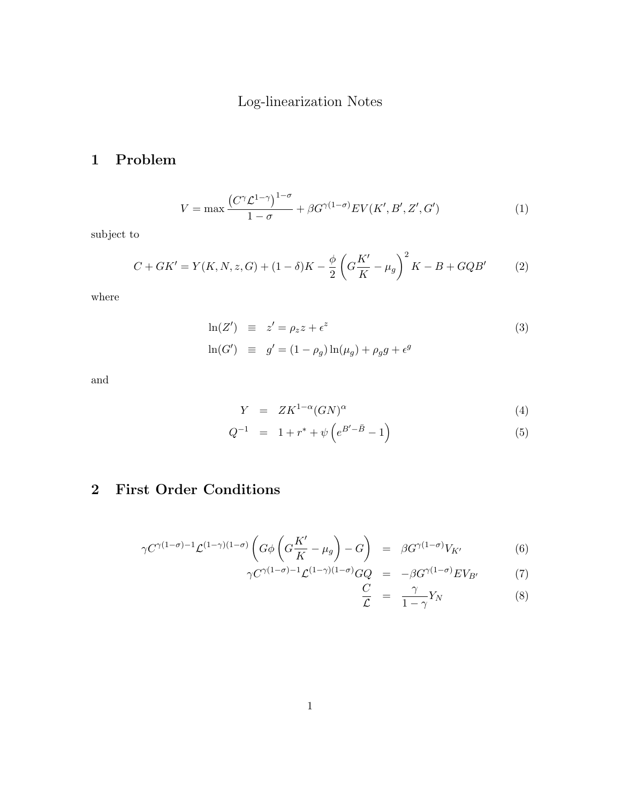# Log-linearization Notes

# 1 Problem

$$
V = \max \frac{\left(C^{\gamma} \mathcal{L}^{1-\gamma}\right)^{1-\sigma}}{1-\sigma} + \beta G^{\gamma(1-\sigma)} E V(K', B', Z', G') \tag{1}
$$

subject to

$$
C + GK' = Y(K, N, z, G) + (1 - \delta)K - \frac{\phi}{2} \left( G\frac{K'}{K} - \mu_g \right)^2 K - B + GQB' \tag{2}
$$

where

$$
\ln(Z') \equiv z' = \rho_z z + \epsilon^z
$$
  
\n
$$
\ln(G') \equiv g' = (1 - \rho_g) \ln(\mu_g) + \rho_g g + \epsilon^g
$$
\n(3)

and

$$
Y = ZK^{1-\alpha}(GN)^{\alpha} \tag{4}
$$

$$
Q^{-1} = 1 + r^* + \psi \left( e^{B' - \bar{B}} - 1 \right)
$$
 (5)

# 2 First Order Conditions

$$
\gamma C^{\gamma(1-\sigma)-1} \mathcal{L}^{(1-\gamma)(1-\sigma)} \left( G \phi \left( G \frac{K'}{K} - \mu_g \right) - G \right) = \beta G^{\gamma(1-\sigma)} V_{K'} \tag{6}
$$

$$
\gamma C^{\gamma(1-\sigma)-1} \mathcal{L}^{(1-\gamma)(1-\sigma)} GQ = -\beta G^{\gamma(1-\sigma)} E V_{B'} \tag{7}
$$

$$
\frac{C}{\mathcal{L}} = \frac{\gamma}{1 - \gamma} Y_N \tag{8}
$$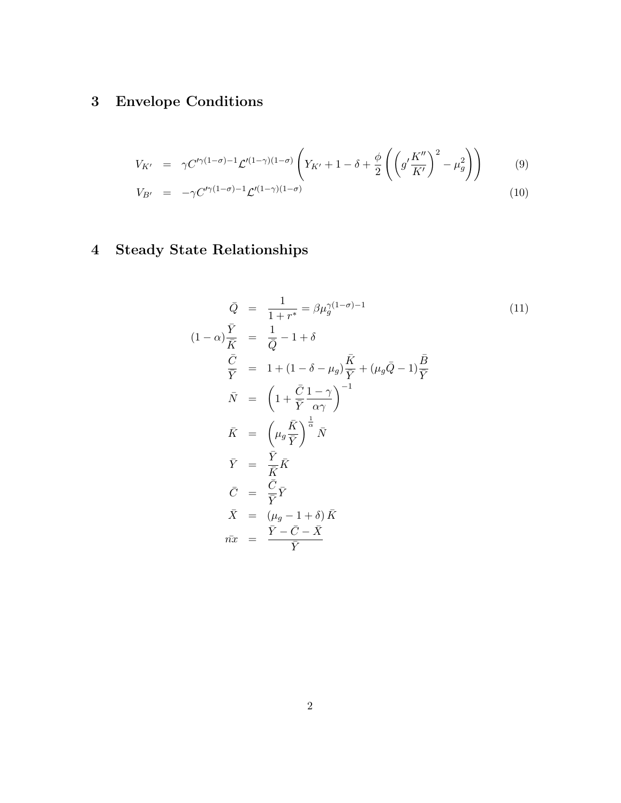# 3 Envelope Conditions

$$
V_{K'} = \gamma C'^{\gamma(1-\sigma)-1} \mathcal{L}'^{(1-\gamma)(1-\sigma)} \left( Y_{K'} + 1 - \delta + \frac{\phi}{2} \left( \left( g' \frac{K''}{K'} \right)^2 - \mu_g^2 \right) \right) \tag{9}
$$

$$
V_{B'} = -\gamma C'^{\gamma(1-\sigma)-1} \mathcal{L}'^{(1-\gamma)(1-\sigma)} \tag{10}
$$

# 4 Steady State Relationships

$$
\begin{aligned}\n\bar{Q} &= \frac{1}{1+r^*} = \beta \mu_{g}^{\gamma(1-\sigma)-1} \tag{11} \\
(1-\alpha)\frac{\bar{Y}}{\bar{K}} &= \frac{1}{\bar{Q}} - 1 + \delta \\
\frac{\bar{C}}{\bar{Y}} &= 1 + (1-\delta - \mu_{g})\frac{\bar{K}}{\bar{Y}} + (\mu_{g}\bar{Q} - 1)\frac{\bar{B}}{\bar{Y}} \\
\bar{N} &= \left(1 + \frac{\bar{C}}{\bar{Y}}\frac{1-\gamma}{\alpha\gamma}\right)^{-1} \\
\bar{K} &= \left(\mu_{g}\frac{\bar{K}}{\bar{Y}}\right)^{\frac{1}{\alpha}}\bar{N} \\
\bar{Y} &= \frac{\bar{Y}}{\bar{K}}\bar{K} \\
\bar{C} &= \frac{\bar{C}}{\bar{Y}}\bar{Y} \\
\bar{X} &= (\mu_{g} - 1 + \delta)\bar{K} \\
\bar{m}x &= \frac{\bar{Y} - \bar{C} - \bar{X}}{\bar{Y}}\n\end{aligned}
$$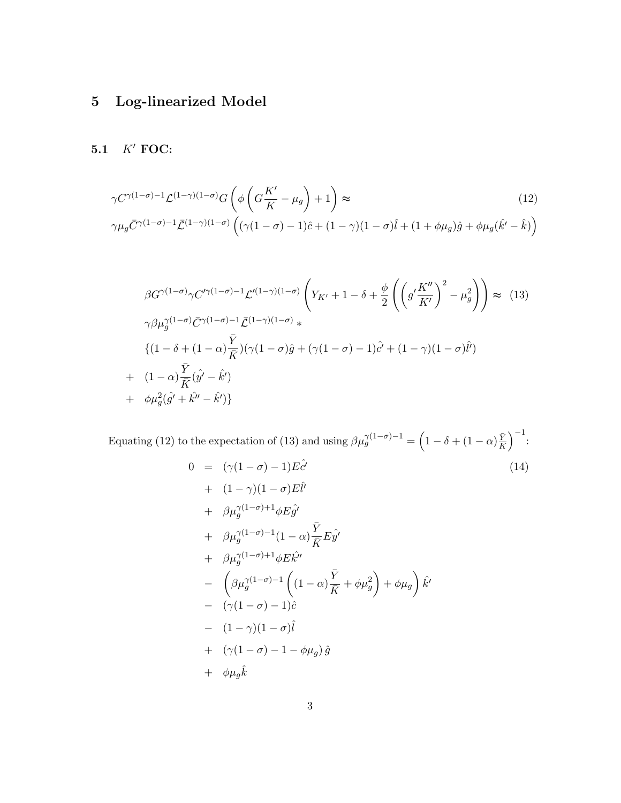# 5 Log-linearized Model

### 5.1  $K'$  FOC:

$$
\gamma C^{\gamma(1-\sigma)-1} \mathcal{L}^{(1-\gamma)(1-\sigma)} G \left( \phi \left( G \frac{K'}{K} - \mu_g \right) + 1 \right) \approx
$$
\n
$$
\gamma \mu_g \bar{C}^{\gamma(1-\sigma)-1} \bar{\mathcal{L}}^{(1-\gamma)(1-\sigma)} \left( (\gamma(1-\sigma)-1)\hat{c} + (1-\gamma)(1-\sigma)\hat{l} + (1+\phi\mu_g)\hat{g} + \phi\mu_g(\hat{k}' - \hat{k}) \right)
$$
\n(12)

$$
\beta G^{\gamma(1-\sigma)} \gamma C'^{\gamma(1-\sigma)-1} \mathcal{L}'^{(1-\gamma)(1-\sigma)} \left( Y_{K'} + 1 - \delta + \frac{\phi}{2} \left( \left( g' \frac{K''}{K'} \right)^2 - \mu_g^2 \right) \right) \approx (13)
$$
  
\n
$$
\gamma \beta \mu_g^{\gamma(1-\sigma)} \bar{C}^{\gamma(1-\sigma)-1} \bar{\mathcal{L}}^{(1-\gamma)(1-\sigma)} * \left\{ (1 - \delta + (1 - \alpha) \frac{\bar{Y}}{\bar{K}}) (\gamma (1 - \sigma) \hat{g} + (\gamma (1 - \sigma) - 1) \hat{c}' + (1 - \gamma)(1 - \sigma) \hat{l}' ) \right\}
$$
  
\n
$$
+ (1 - \alpha) \frac{\bar{Y}}{\bar{K}} (\hat{y}' - \hat{k}') + \phi \mu_g^2 (\hat{g}' + \hat{k}'' - \hat{k}') \}
$$

Equating (12) to the expectation of (13) and using  $\beta \mu_g^{\gamma(1-\sigma)-1} = \left(1 - \delta + (1-\alpha)\frac{\bar{Y}}{\bar{K}}\right)$  $\bar{K}$  $\Big)^{-1}$ :

$$
0 = (\gamma(1 - \sigma) - 1)E\hat{c}'
$$
\n
$$
+ (1 - \gamma)(1 - \sigma)E\hat{l}'
$$
\n
$$
+ \beta\mu_g^{\gamma(1 - \sigma) + 1}\phi E\hat{g}'
$$
\n
$$
+ \beta\mu_g^{\gamma(1 - \sigma) - 1}(1 - \alpha)\frac{\bar{Y}}{\bar{K}}E\hat{y}'
$$
\n
$$
+ \beta\mu_g^{\gamma(1 - \sigma) + 1}\phi E\hat{k}''
$$
\n
$$
- \left(\beta\mu_g^{\gamma(1 - \sigma) - 1}\left((1 - \alpha)\frac{\bar{Y}}{\bar{K}} + \phi\mu_g^2\right) + \phi\mu_g\right)\hat{k}'
$$
\n
$$
- (\gamma(1 - \sigma) - 1)\hat{c}
$$
\n
$$
- (1 - \gamma)(1 - \sigma)\hat{l}
$$
\n
$$
+ (\gamma(1 - \sigma) - 1 - \phi\mu_g)\hat{g}
$$
\n
$$
+ \phi\mu_g\hat{k}
$$
\n(14)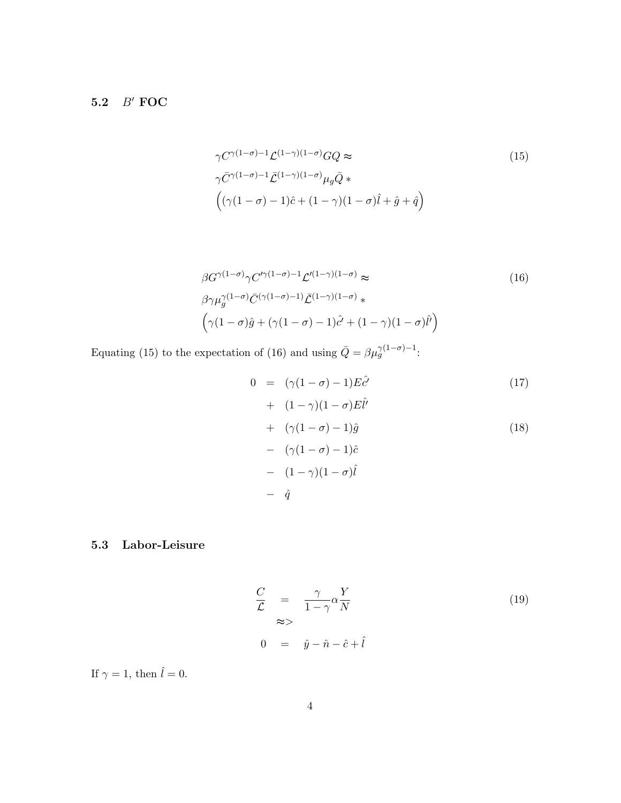### 5.2  $B'$  FOC

$$
\gamma C^{\gamma(1-\sigma)-1} \mathcal{L}^{(1-\gamma)(1-\sigma)} GQ \approx
$$
\n
$$
\gamma \bar{C}^{\gamma(1-\sigma)-1} \bar{\mathcal{L}}^{(1-\gamma)(1-\sigma)} \mu_g \bar{Q} * \left( (\gamma(1-\sigma)-1)\hat{c} + (1-\gamma)(1-\sigma)\hat{l} + \hat{g} + \hat{q} \right)
$$
\n(15)

$$
\beta G^{\gamma(1-\sigma)} \gamma C'^{\gamma(1-\sigma)-1} \mathcal{L}'^{(1-\gamma)(1-\sigma)} \approx\n \beta \gamma \mu_g^{\gamma(1-\sigma)} \bar{C}^{(\gamma(1-\sigma)-1)} \bar{\mathcal{L}}^{(1-\gamma)(1-\sigma)} * \n \left( \gamma(1-\sigma)\hat{g} + (\gamma(1-\sigma)-1)\hat{c}' + (1-\gamma)(1-\sigma)\hat{l}' \right)
$$
\n(16)

Equating (15) to the expectation of (16) and using  $\bar{Q} = \beta \mu_g^{\gamma(1-\sigma)-1}$ :

$$
0 = (\gamma(1 - \sigma) - 1)E\hat{c}'
$$
  
+  $(1 - \gamma)(1 - \sigma)E\hat{l}'$   
+  $(\gamma(1 - \sigma) - 1)\hat{g}$   
-  $(\gamma(1 - \sigma) - 1)\hat{c}$   
-  $(1 - \gamma)(1 - \sigma)\hat{l}$   
-  $\hat{q}$  (18)

### 5.3 Labor-Leisure

$$
\frac{C}{\mathcal{L}} = \frac{\gamma}{1 - \gamma} \alpha \frac{Y}{N}
$$
\n
$$
\approx
$$
\n
$$
0 = \hat{y} - \hat{n} - \hat{c} + \hat{l}
$$
\n(19)

If  $\gamma = 1$ , then  $\hat{l} = 0$ .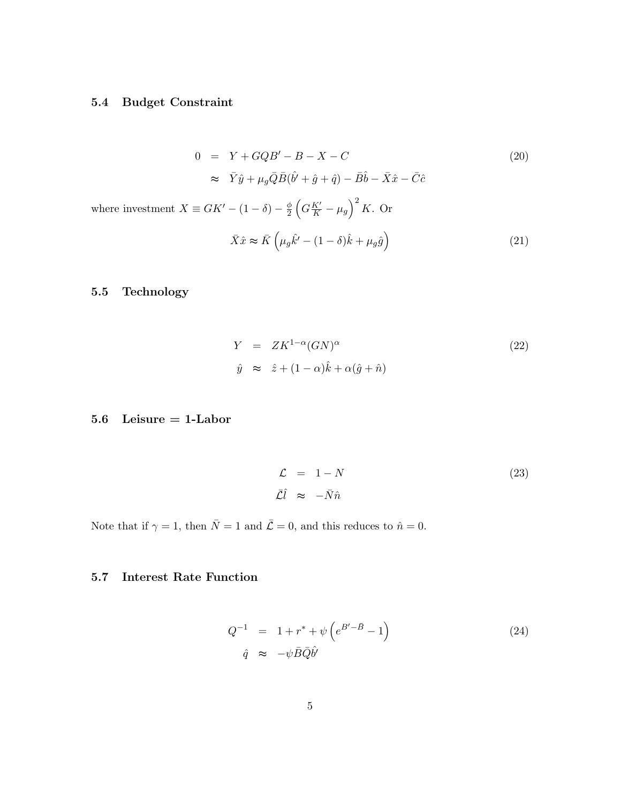### 5.4 Budget Constraint

$$
0 = Y + GQB' - B - X - C
$$
\n
$$
\approx \bar{Y}\hat{y} + \mu_g \bar{Q}\bar{B}(\hat{b}' + \hat{g} + \hat{q}) - \bar{B}\hat{b} - \bar{X}\hat{x} - \bar{C}\hat{c}
$$
\n
$$
\text{investment } X \equiv GK' - (1 - \delta) - \frac{\phi}{2} \left( G\frac{K'}{K} - \mu_g \right)^2 K. \text{ Or}
$$
\n
$$
\bar{X}\hat{x} \approx \bar{K} \left( \mu_g \hat{k}' - (1 - \delta)\hat{k} + \mu_g \hat{g} \right)
$$
\n
$$
(21)
$$

### 5.5 Technology

where  $% \left( \mathcal{A},\mathcal{A}\right)$ 

$$
Y = ZK^{1-\alpha}(GN)^{\alpha}
$$
  
\n
$$
\hat{y} \approx \hat{z} + (1-\alpha)\hat{k} + \alpha(\hat{g} + \hat{n})
$$
\n(22)

### 5.6 Leisure = 1-Labor

$$
\mathcal{L} = 1 - N \tag{23}
$$
\n
$$
\bar{\mathcal{L}} \tilde{l} \approx -\bar{N}\hat{n}
$$

Note that if  $\gamma = 1$ , then  $\overline{N} = 1$  and  $\overline{L} = 0$ , and this reduces to  $\hat{n} = 0$ .

### 5.7 Interest Rate Function

$$
Q^{-1} = 1 + r^* + \psi \left( e^{B' - \bar{B}} - 1 \right)
$$
  
\n
$$
\hat{q} \approx -\psi \bar{B} \bar{Q} \hat{b'}
$$
\n(24)